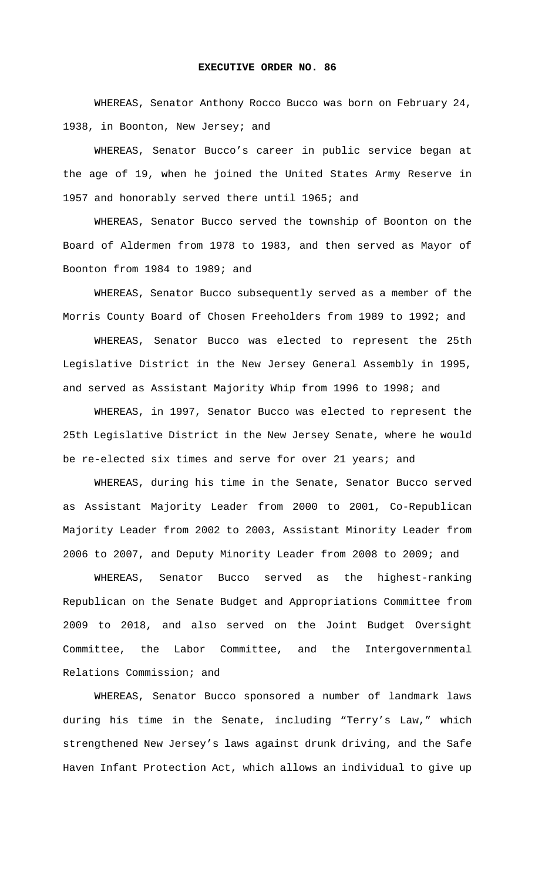## **EXECUTIVE ORDER NO. 86**

 WHEREAS, Senator Anthony Rocco Bucco was born on February 24, 1938, in Boonton, New Jersey; and

 WHEREAS, Senator Bucco's career in public service began at the age of 19, when he joined the United States Army Reserve in 1957 and honorably served there until 1965; and

 WHEREAS, Senator Bucco served the township of Boonton on the Board of Aldermen from 1978 to 1983, and then served as Mayor of Boonton from 1984 to 1989; and

 WHEREAS, Senator Bucco subsequently served as a member of the Morris County Board of Chosen Freeholders from 1989 to 1992; and

 WHEREAS, Senator Bucco was elected to represent the 25th Legislative District in the New Jersey General Assembly in 1995, and served as Assistant Majority Whip from 1996 to 1998; and

 WHEREAS, in 1997, Senator Bucco was elected to represent the 25th Legislative District in the New Jersey Senate, where he would be re-elected six times and serve for over 21 years; and

 WHEREAS, during his time in the Senate, Senator Bucco served as Assistant Majority Leader from 2000 to 2001, Co-Republican Majority Leader from 2002 to 2003, Assistant Minority Leader from 2006 to 2007, and Deputy Minority Leader from 2008 to 2009; and

 WHEREAS, Senator Bucco served as the highest-ranking Republican on the Senate Budget and Appropriations Committee from 2009 to 2018, and also served on the Joint Budget Oversight Committee, the Labor Committee, and the Intergovernmental Relations Commission; and

 WHEREAS, Senator Bucco sponsored a number of landmark laws during his time in the Senate, including "Terry's Law," which strengthened New Jersey's laws against drunk driving, and the Safe Haven Infant Protection Act, which allows an individual to give up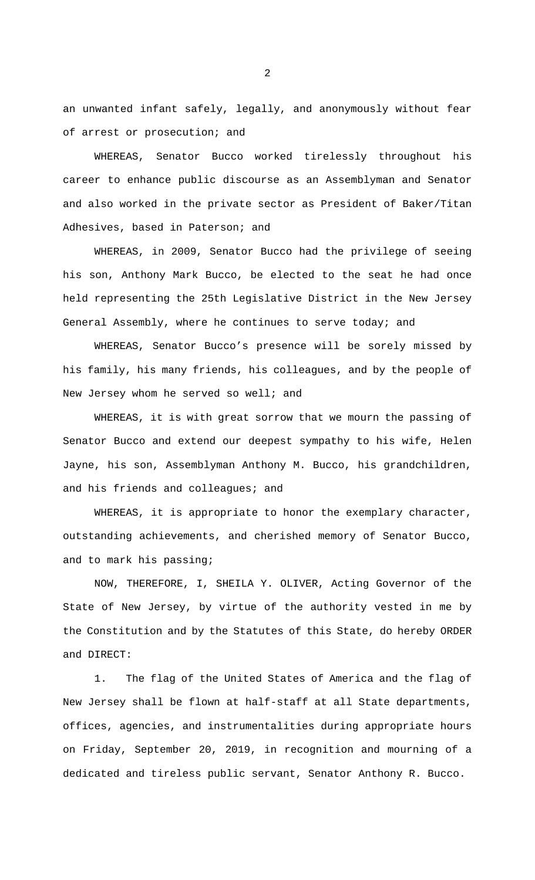an unwanted infant safely, legally, and anonymously without fear of arrest or prosecution; and

 WHEREAS, Senator Bucco worked tirelessly throughout his career to enhance public discourse as an Assemblyman and Senator and also worked in the private sector as President of Baker/Titan Adhesives, based in Paterson; and

 WHEREAS, in 2009, Senator Bucco had the privilege of seeing his son, Anthony Mark Bucco, be elected to the seat he had once held representing the 25th Legislative District in the New Jersey General Assembly, where he continues to serve today; and

 WHEREAS, Senator Bucco's presence will be sorely missed by his family, his many friends, his colleagues, and by the people of New Jersey whom he served so well; and

 WHEREAS, it is with great sorrow that we mourn the passing of Senator Bucco and extend our deepest sympathy to his wife, Helen Jayne, his son, Assemblyman Anthony M. Bucco, his grandchildren, and his friends and colleagues; and

 WHEREAS, it is appropriate to honor the exemplary character, outstanding achievements, and cherished memory of Senator Bucco, and to mark his passing;

 NOW, THEREFORE, I, SHEILA Y. OLIVER, Acting Governor of the State of New Jersey, by virtue of the authority vested in me by the Constitution and by the Statutes of this State, do hereby ORDER and DIRECT:

1. The flag of the United States of America and the flag of New Jersey shall be flown at half-staff at all State departments, offices, agencies, and instrumentalities during appropriate hours on Friday, September 20, 2019, in recognition and mourning of a dedicated and tireless public servant, Senator Anthony R. Bucco.

2